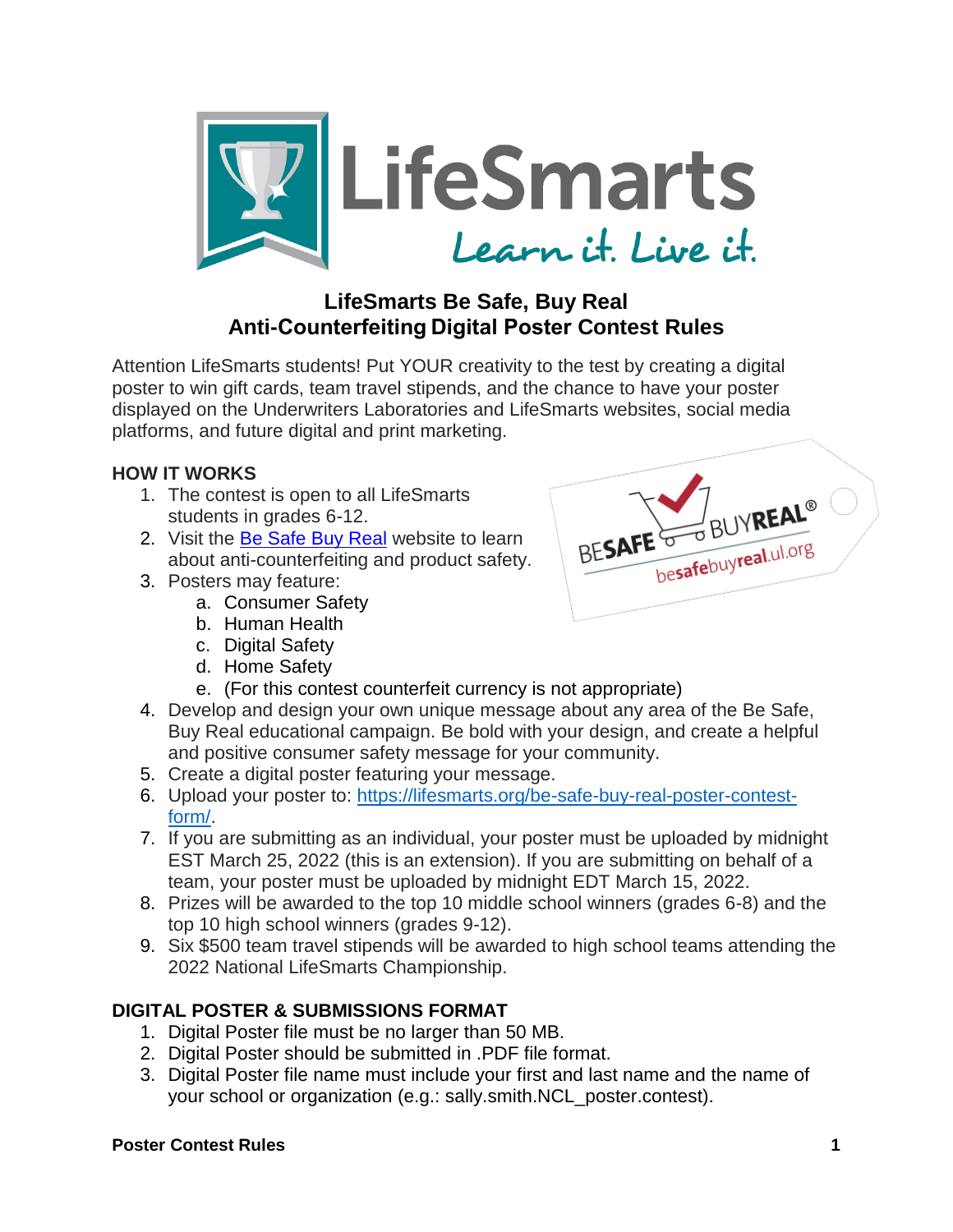

# **LifeSmarts Be Safe, Buy Real Anti-Counterfeiting Digital Poster Contest Rules**

Attention LifeSmarts students! Put YOUR creativity to the test by creating a digital poster to win gift cards, team travel stipends, and the chance to have your poster displayed on the Underwriters Laboratories and LifeSmarts websites, social media platforms, and future digital and print marketing.

# **HOW IT WORKS**

- 1. The contest is open to all LifeSmarts students in grades 6-12.
- 2. Visit the [Be Safe Buy Real](https://besafebuyreal.ul.org/) website to learn about anti-counterfeiting and product safety.
- 3. Posters may feature:
	- a. Consumer Safety
	- b. Human Health
	- c. Digital Safety
	- d. Home Safety
	- e. (For this contest counterfeit currency is not appropriate)
- 4. Develop and design your own unique message about any area of the Be Safe, Buy Real educational campaign. Be bold with your design, and create a helpful and positive consumer safety message for your community.
- 5. Create a digital poster featuring your message.
- 6. Upload your poster to: [https://lifesmarts.org/be-safe-buy-real-poster-contest](https://lifesmarts.org/be-safe-buy-real-poster-contest-form/)[form/.](https://lifesmarts.org/be-safe-buy-real-poster-contest-form/)
- 7. If you are submitting as an individual, your poster must be uploaded by midnight EST March 25, 2022 (this is an extension). If you are submitting on behalf of a team, your poster must be uploaded by midnight EDT March 15, 2022.
- 8. Prizes will be awarded to the top 10 middle school winners (grades 6-8) and the top 10 high school winners (grades 9-12).
- 9. Six \$500 team travel stipends will be awarded to high school teams attending the 2022 National LifeSmarts Championship.

# **DIGITAL POSTER & SUBMISSIONS FORMAT**

- 1. Digital Poster file must be no larger than 50 MB.
- 2. Digital Poster should be submitted in .PDF file format.
- 3. Digital Poster file name must include your first and last name and the name of your school or organization (e.g.: sally.smith.NCL\_poster.contest).



# **Poster Contest Rules 1**